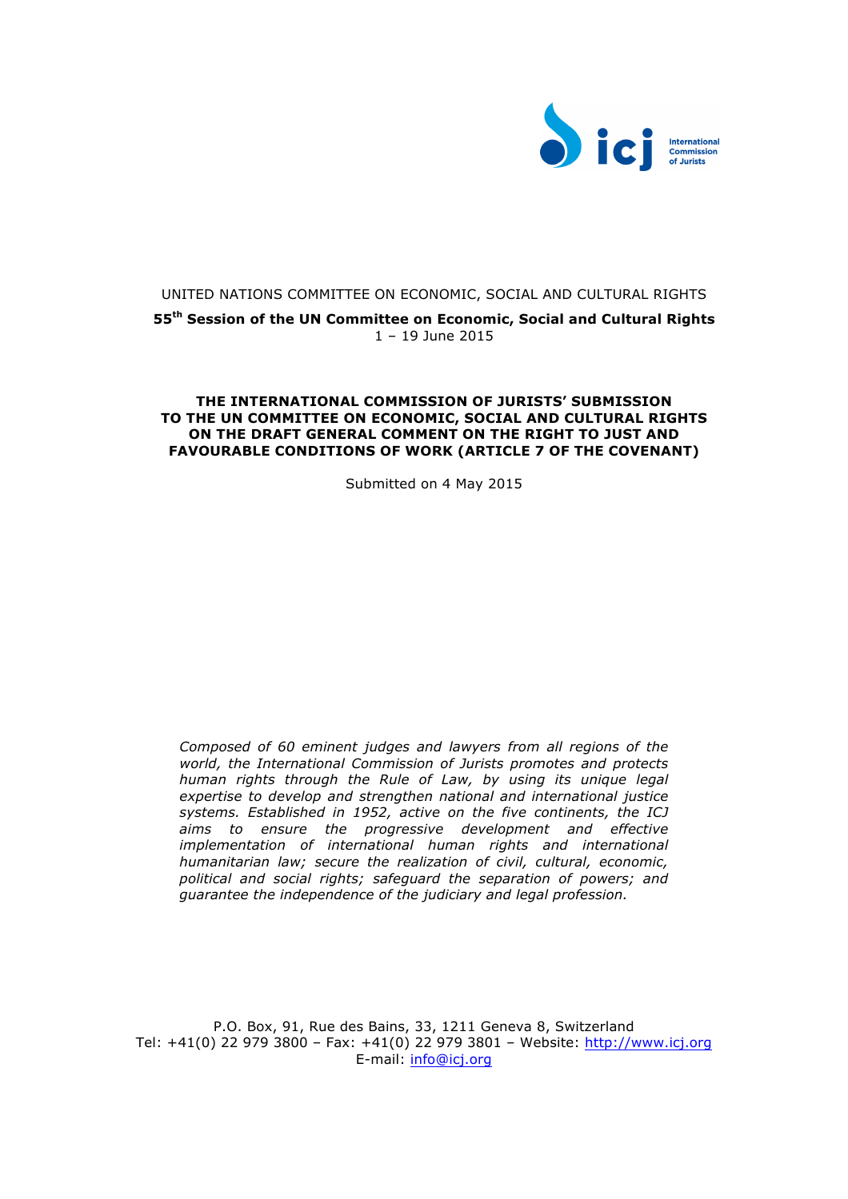

# UNITED NATIONS COMMITTEE ON ECONOMIC, SOCIAL AND CULTURAL RIGHTS

**55th Session of the UN Committee on Economic, Social and Cultural Rights** 1 – 19 June 2015

## **THE INTERNATIONAL COMMISSION OF JURISTS' SUBMISSION TO THE UN COMMITTEE ON ECONOMIC, SOCIAL AND CULTURAL RIGHTS ON THE DRAFT GENERAL COMMENT ON THE RIGHT TO JUST AND FAVOURABLE CONDITIONS OF WORK (ARTICLE 7 OF THE COVENANT)**

Submitted on 4 May 2015

*Composed of 60 eminent judges and lawyers from all regions of the world, the International Commission of Jurists promotes and protects human rights through the Rule of Law, by using its unique legal expertise to develop and strengthen national and international justice systems. Established in 1952, active on the five continents, the ICJ aims to ensure the progressive development and effective implementation of international human rights and international humanitarian law; secure the realization of civil, cultural, economic, political and social rights; safeguard the separation of powers; and guarantee the independence of the judiciary and legal profession.*

P.O. Box, 91, Rue des Bains, 33, 1211 Geneva 8, Switzerland Tel: +41(0) 22 979 3800 – Fax: +41(0) 22 979 3801 – Website: http://www.icj.org E-mail: info@icj.org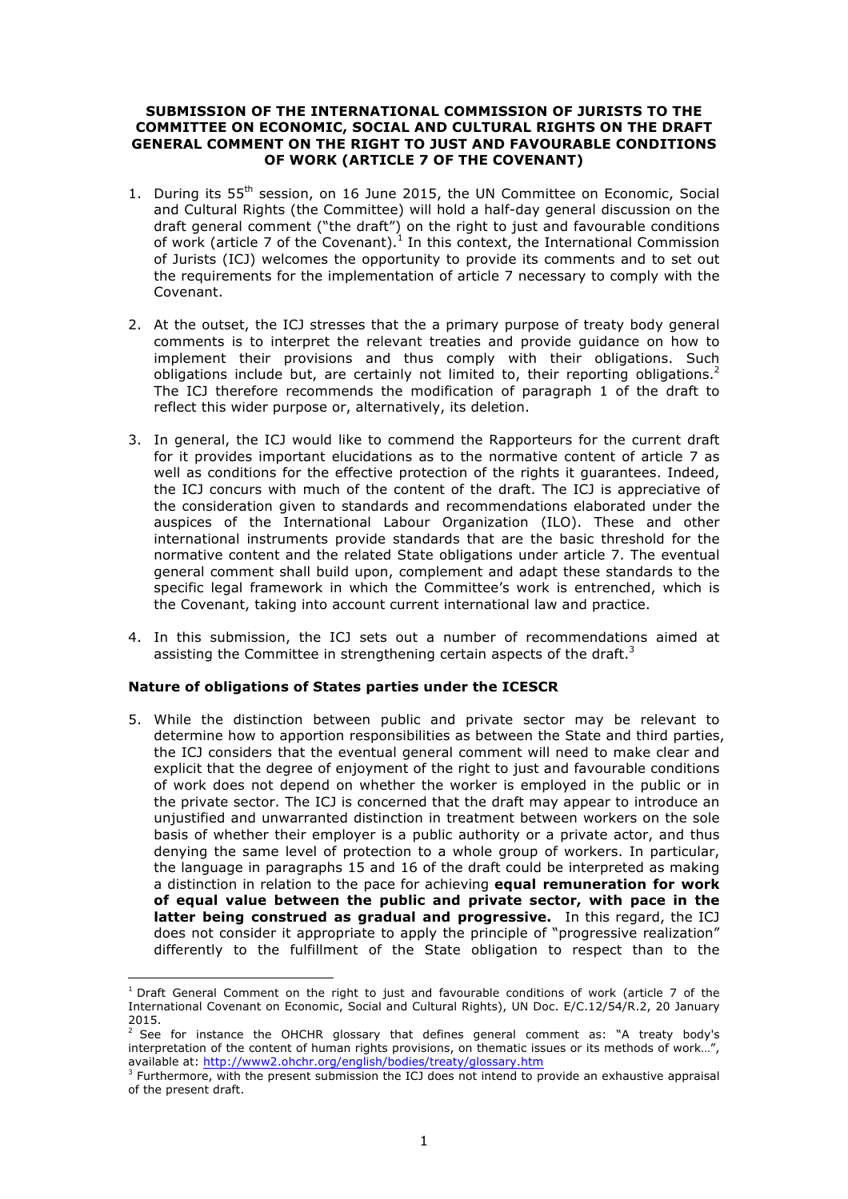## **SUBMISSION OF THE INTERNATIONAL COMMISSION OF JURISTS TO THE COMMITTEE ON ECONOMIC, SOCIAL AND CULTURAL RIGHTS ON THE DRAFT GENERAL COMMENT ON THE RIGHT TO JUST AND FAVOURABLE CONDITIONS OF WORK (ARTICLE 7 OF THE COVENANT)**

- 1. During its 55<sup>th</sup> session, on 16 June 2015, the UN Committee on Economic, Social and Cultural Rights (the Committee) will hold a half-day general discussion on the draft general comment ("the draft") on the right to just and favourable conditions of work (article 7 of the Covenant).<sup>1</sup> In this context, the International Commission of Jurists (ICJ) welcomes the opportunity to provide its comments and to set out the requirements for the implementation of article 7 necessary to comply with the Covenant.
- 2. At the outset, the ICJ stresses that the a primary purpose of treaty body general comments is to interpret the relevant treaties and provide guidance on how to implement their provisions and thus comply with their obligations. Such obligations include but, are certainly not limited to, their reporting obligations.<sup>2</sup> The ICJ therefore recommends the modification of paragraph 1 of the draft to reflect this wider purpose or, alternatively, its deletion.
- 3. In general, the ICJ would like to commend the Rapporteurs for the current draft for it provides important elucidations as to the normative content of article 7 as well as conditions for the effective protection of the rights it guarantees. Indeed, the ICJ concurs with much of the content of the draft. The ICJ is appreciative of the consideration given to standards and recommendations elaborated under the auspices of the International Labour Organization (ILO). These and other international instruments provide standards that are the basic threshold for the normative content and the related State obligations under article 7. The eventual general comment shall build upon, complement and adapt these standards to the specific legal framework in which the Committee's work is entrenched, which is the Covenant, taking into account current international law and practice.
- 4. In this submission, the ICJ sets out a number of recommendations aimed at assisting the Committee in strengthening certain aspects of the draft.<sup>3</sup>

### **Nature of obligations of States parties under the ICESCR**

 

5. While the distinction between public and private sector may be relevant to determine how to apportion responsibilities as between the State and third parties, the ICJ considers that the eventual general comment will need to make clear and explicit that the degree of enjoyment of the right to just and favourable conditions of work does not depend on whether the worker is employed in the public or in the private sector. The ICJ is concerned that the draft may appear to introduce an unjustified and unwarranted distinction in treatment between workers on the sole basis of whether their employer is a public authority or a private actor, and thus denying the same level of protection to a whole group of workers. In particular, the language in paragraphs 15 and 16 of the draft could be interpreted as making a distinction in relation to the pace for achieving **equal remuneration for work of equal value between the public and private sector, with pace in the latter being construed as gradual and progressive.** In this regard, the ICJ does not consider it appropriate to apply the principle of "progressive realization" differently to the fulfillment of the State obligation to respect than to the

 $1$  Draft General Comment on the right to just and favourable conditions of work (article 7 of the International Covenant on Economic, Social and Cultural Rights), UN Doc. E/C.12/54/R.2, 20 January 2015.

 $2$  See for instance the OHCHR glossary that defines general comment as: "A treaty body's interpretation of the content of human rights provisions, on thematic issues or its methods of work…", available at: http://www2.ohchr.org/english/bodies/treaty/glossary.htm

 $3$  Furthermore, with the present submission the ICJ does not intend to provide an exhaustive appraisal of the present draft.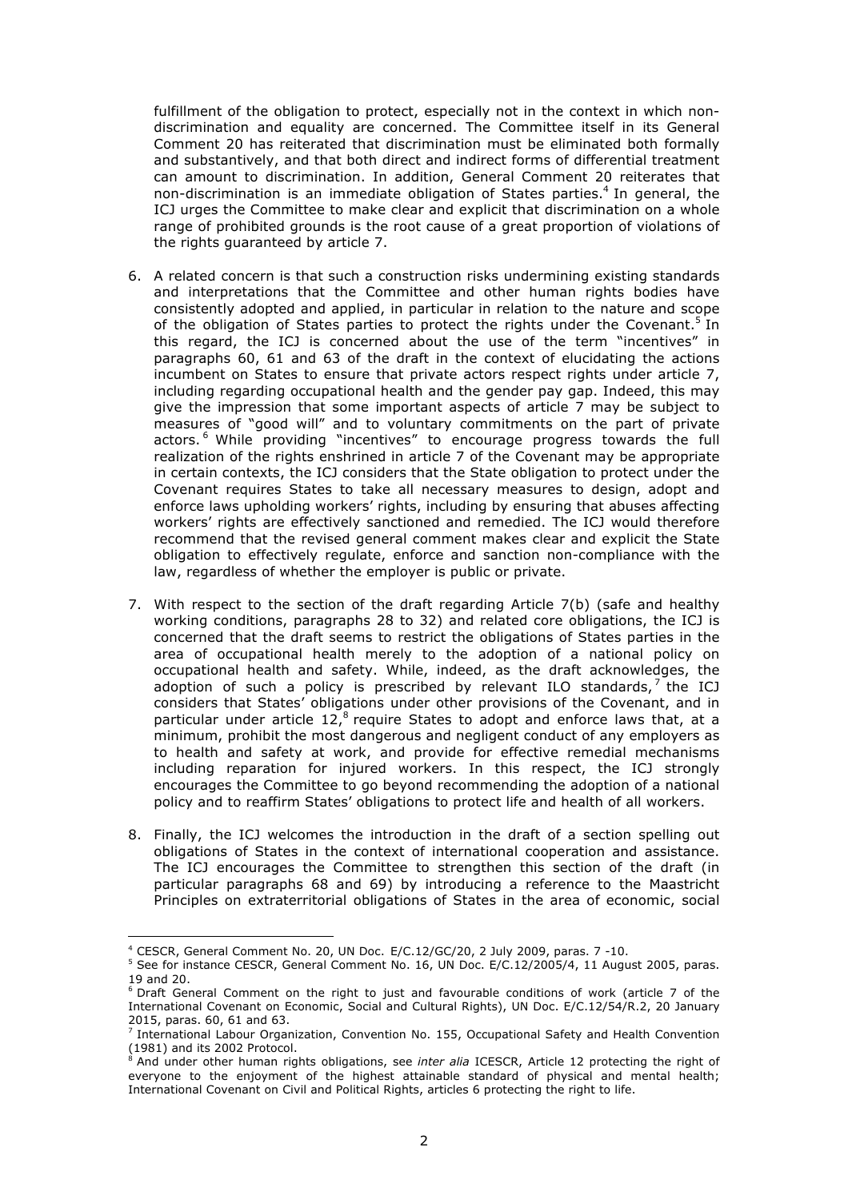fulfillment of the obligation to protect, especially not in the context in which nondiscrimination and equality are concerned. The Committee itself in its General Comment 20 has reiterated that discrimination must be eliminated both formally and substantively, and that both direct and indirect forms of differential treatment can amount to discrimination. In addition, General Comment 20 reiterates that non-discrimination is an immediate obligation of States parties.4 In general, the ICJ urges the Committee to make clear and explicit that discrimination on a whole range of prohibited grounds is the root cause of a great proportion of violations of the rights guaranteed by article 7.

- 6. A related concern is that such a construction risks undermining existing standards and interpretations that the Committee and other human rights bodies have consistently adopted and applied, in particular in relation to the nature and scope of the obligation of States parties to protect the rights under the Covenant.<sup>5</sup> In this regard, the ICJ is concerned about the use of the term "incentives" in paragraphs 60, 61 and 63 of the draft in the context of elucidating the actions incumbent on States to ensure that private actors respect rights under article 7, including regarding occupational health and the gender pay gap. Indeed, this may give the impression that some important aspects of article 7 may be subject to measures of "good will" and to voluntary commitments on the part of private actors.<sup>6</sup> While providing "incentives" to encourage progress towards the full realization of the rights enshrined in article 7 of the Covenant may be appropriate in certain contexts, the ICJ considers that the State obligation to protect under the Covenant requires States to take all necessary measures to design, adopt and enforce laws upholding workers' rights, including by ensuring that abuses affecting workers' rights are effectively sanctioned and remedied. The ICJ would therefore recommend that the revised general comment makes clear and explicit the State obligation to effectively regulate, enforce and sanction non-compliance with the law, regardless of whether the employer is public or private.
- 7. With respect to the section of the draft regarding Article 7(b) (safe and healthy working conditions, paragraphs 28 to 32) and related core obligations, the ICJ is concerned that the draft seems to restrict the obligations of States parties in the area of occupational health merely to the adoption of a national policy on occupational health and safety. While, indeed, as the draft acknowledges, the adoption of such a policy is prescribed by relevant ILO standards, $7$  the ICJ considers that States' obligations under other provisions of the Covenant, and in particular under article  $12<sup>8</sup>$  require States to adopt and enforce laws that, at a minimum, prohibit the most dangerous and negligent conduct of any employers as to health and safety at work, and provide for effective remedial mechanisms including reparation for injured workers. In this respect, the ICJ strongly encourages the Committee to go beyond recommending the adoption of a national policy and to reaffirm States' obligations to protect life and health of all workers.
- 8. Finally, the ICJ welcomes the introduction in the draft of a section spelling out obligations of States in the context of international cooperation and assistance. The ICJ encourages the Committee to strengthen this section of the draft (in particular paragraphs 68 and 69) by introducing a reference to the Maastricht Principles on extraterritorial obligations of States in the area of economic, social

 

 $4$  CESCR, General Comment No. 20, UN Doc. E/C.12/GC/20, 2 July 2009, paras. 7 -10.

<sup>&</sup>lt;sup>5</sup> See for instance CESCR, General Comment No. 16, UN Doc. E/C.12/2005/4, 11 August 2005, paras. 19 and 20.

<sup>&</sup>lt;sup>6</sup> Draft General Comment on the right to just and favourable conditions of work (article 7 of the International Covenant on Economic, Social and Cultural Rights), UN Doc. E/C.12/54/R.2, 20 January 2015, paras. 60, 61 and 63.

 $<sup>7</sup>$  International Labour Organization, Convention No. 155, Occupational Safety and Health Convention</sup> (1981) and its 2002 Protocol.<br> $8 \text{ And under}$ 

<sup>8</sup> And under other human rights obligations, see *inter alia* ICESCR, Article 12 protecting the right of everyone to the enjoyment of the highest attainable standard of physical and mental health; International Covenant on Civil and Political Rights, articles 6 protecting the right to life.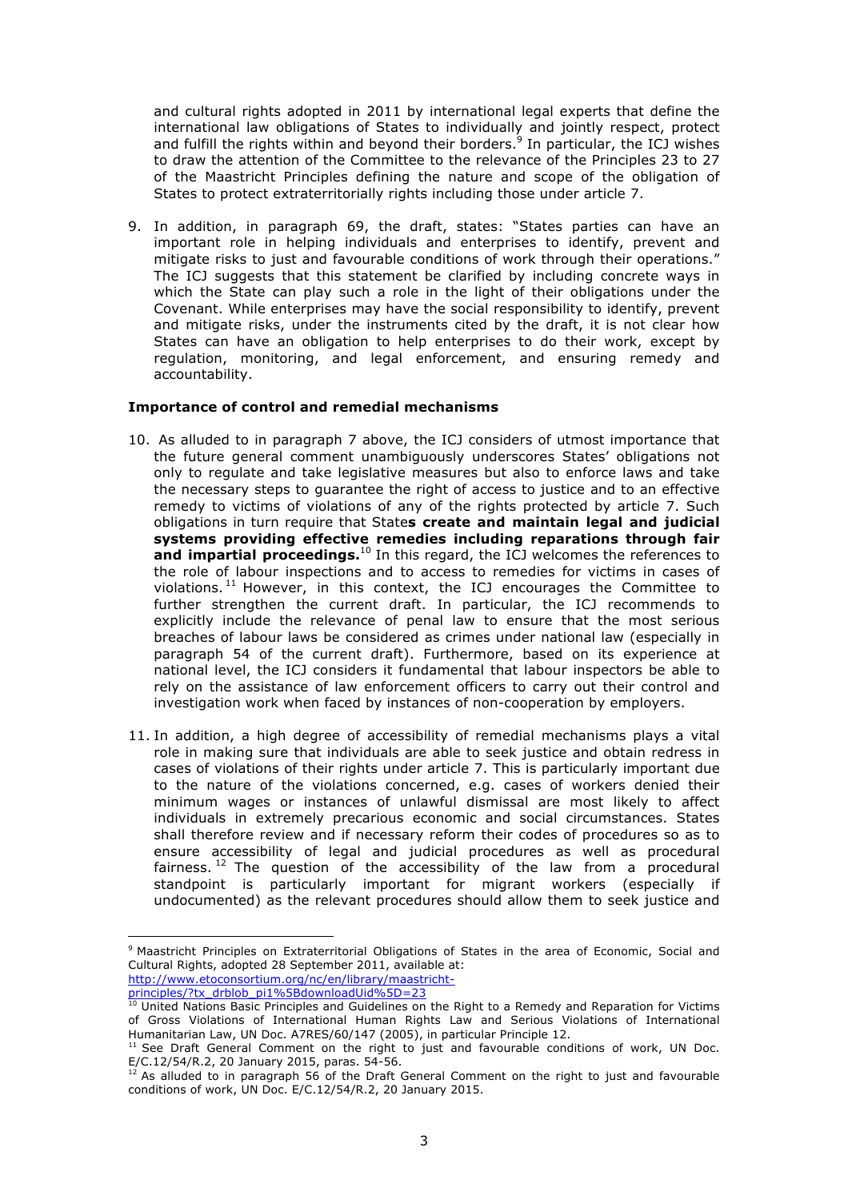and cultural rights adopted in 2011 by international legal experts that define the international law obligations of States to individually and jointly respect, protect and fulfill the rights within and beyond their borders.<sup>9</sup> In particular, the ICJ wishes to draw the attention of the Committee to the relevance of the Principles 23 to 27 of the Maastricht Principles defining the nature and scope of the obligation of States to protect extraterritorially rights including those under article 7.

9. In addition, in paragraph 69, the draft, states: "States parties can have an important role in helping individuals and enterprises to identify, prevent and mitigate risks to just and favourable conditions of work through their operations." The ICJ suggests that this statement be clarified by including concrete ways in which the State can play such a role in the light of their obligations under the Covenant. While enterprises may have the social responsibility to identify, prevent and mitigate risks, under the instruments cited by the draft, it is not clear how States can have an obligation to help enterprises to do their work, except by regulation, monitoring, and legal enforcement, and ensuring remedy and accountability.

### **Importance of control and remedial mechanisms**

- 10. As alluded to in paragraph 7 above, the ICJ considers of utmost importance that the future general comment unambiguously underscores States' obligations not only to regulate and take legislative measures but also to enforce laws and take the necessary steps to guarantee the right of access to justice and to an effective remedy to victims of violations of any of the rights protected by article 7. Such obligations in turn require that State**s create and maintain legal and judicial systems providing effective remedies including reparations through fair and impartial proceedings.**<sup>10</sup> In this regard, the ICJ welcomes the references to the role of labour inspections and to access to remedies for victims in cases of violations. <sup>11</sup> However, in this context, the ICJ encourages the Committee to further strengthen the current draft. In particular, the ICJ recommends to explicitly include the relevance of penal law to ensure that the most serious breaches of labour laws be considered as crimes under national law (especially in paragraph 54 of the current draft). Furthermore, based on its experience at national level, the ICJ considers it fundamental that labour inspectors be able to rely on the assistance of law enforcement officers to carry out their control and investigation work when faced by instances of non-cooperation by employers.
- 11. In addition, a high degree of accessibility of remedial mechanisms plays a vital role in making sure that individuals are able to seek justice and obtain redress in cases of violations of their rights under article 7. This is particularly important due to the nature of the violations concerned, e.g. cases of workers denied their minimum wages or instances of unlawful dismissal are most likely to affect individuals in extremely precarious economic and social circumstances. States shall therefore review and if necessary reform their codes of procedures so as to ensure accessibility of legal and judicial procedures as well as procedural fairness.  $12$  The question of the accessibility of the law from a procedural standpoint is particularly important for migrant workers (especially if undocumented) as the relevant procedures should allow them to seek justice and

 <sup>9</sup> Maastricht Principles on Extraterritorial Obligations of States in the area of Economic, Social and Cultural Rights, adopted 28 September 2011, available at: http://www.etoconsortium.org/nc/en/library/maastricht-

principles/?tx\_drblob\_pi1%5BdownloadUid%5D=23

 $^{10}$  United Nations Basic Principles and Guidelines on the Right to a Remedy and Reparation for Victims of Gross Violations of International Human Rights Law and Serious Violations of International Humanitarian Law, UN Doc. A7RES/60/147 (2005), in particular Principle 12.

<sup>&</sup>lt;sup>11</sup> See Draft General Comment on the right to just and favourable conditions of work, UN Doc. E/C.12/54/R.2, 20 January 2015, paras. 54-56.

 $12$  As alluded to in paragraph 56 of the Draft General Comment on the right to just and favourable conditions of work, UN Doc. E/C.12/54/R.2, 20 January 2015.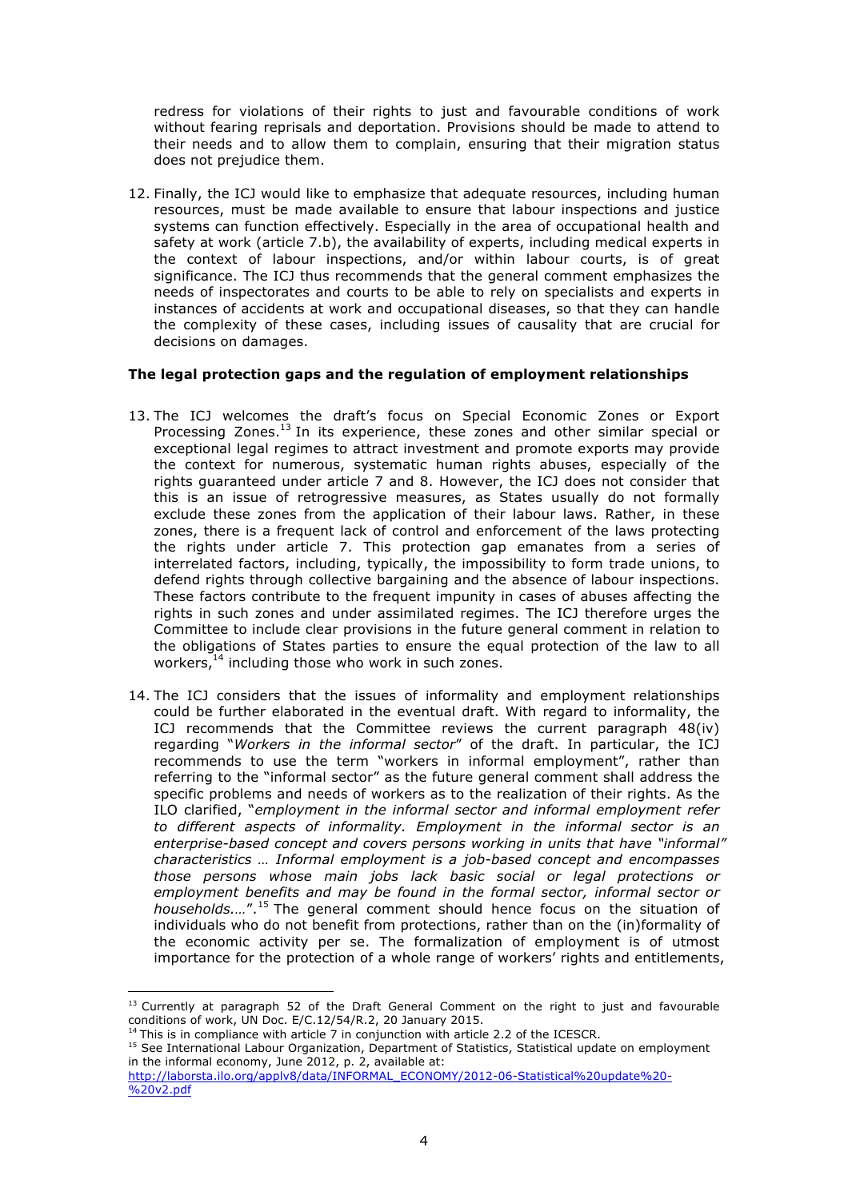redress for violations of their rights to just and favourable conditions of work without fearing reprisals and deportation. Provisions should be made to attend to their needs and to allow them to complain, ensuring that their migration status does not prejudice them.

12. Finally, the ICJ would like to emphasize that adequate resources, including human resources, must be made available to ensure that labour inspections and justice systems can function effectively. Especially in the area of occupational health and safety at work (article 7.b), the availability of experts, including medical experts in the context of labour inspections, and/or within labour courts, is of great significance. The ICJ thus recommends that the general comment emphasizes the needs of inspectorates and courts to be able to rely on specialists and experts in instances of accidents at work and occupational diseases, so that they can handle the complexity of these cases, including issues of causality that are crucial for decisions on damages.

# **The legal protection gaps and the regulation of employment relationships**

- 13. The ICJ welcomes the draft's focus on Special Economic Zones or Export Processing Zones.<sup>13</sup> In its experience, these zones and other similar special or exceptional legal regimes to attract investment and promote exports may provide the context for numerous, systematic human rights abuses, especially of the rights guaranteed under article 7 and 8. However, the ICJ does not consider that this is an issue of retrogressive measures, as States usually do not formally exclude these zones from the application of their labour laws. Rather, in these zones, there is a frequent lack of control and enforcement of the laws protecting the rights under article 7. This protection gap emanates from a series of interrelated factors, including, typically, the impossibility to form trade unions, to defend rights through collective bargaining and the absence of labour inspections. These factors contribute to the frequent impunity in cases of abuses affecting the rights in such zones and under assimilated regimes. The ICJ therefore urges the Committee to include clear provisions in the future general comment in relation to the obligations of States parties to ensure the equal protection of the law to all workers,<sup>14</sup> including those who work in such zones.
- 14. The ICJ considers that the issues of informality and employment relationships could be further elaborated in the eventual draft. With regard to informality, the ICJ recommends that the Committee reviews the current paragraph 48(iv) regarding "*Workers in the informal sector*" of the draft. In particular, the ICJ recommends to use the term "workers in informal employment", rather than referring to the "informal sector" as the future general comment shall address the specific problems and needs of workers as to the realization of their rights. As the ILO clarified, "*employment in the informal sector and informal employment refer to different aspects of informality. Employment in the informal sector is an enterprise-based concept and covers persons working in units that have "informal" characteristics … Informal employment is a job-based concept and encompasses those persons whose main jobs lack basic social or legal protections or employment benefits and may be found in the formal sector, informal sector or households.…*".<sup>15</sup> The general comment should hence focus on the situation of individuals who do not benefit from protections, rather than on the (in)formality of the economic activity per se. The formalization of employment is of utmost importance for the protection of a whole range of workers' rights and entitlements,

 

<sup>&</sup>lt;sup>13</sup> Currently at paragraph 52 of the Draft General Comment on the right to just and favourable conditions of work, UN Doc. E/C.12/54/R.2, 20 January 2015.

 $4$  This is in compliance with article 7 in conjunction with article 2.2 of the ICESCR.

<sup>&</sup>lt;sup>15</sup> See International Labour Organization, Department of Statistics, Statistical update on employment in the informal economy, June 2012, p. 2, available at:

http://laborsta.ilo.org/applv8/data/INFORMAL\_ECONOMY/2012-06-Statistical%20update%20- %20v2.pdf